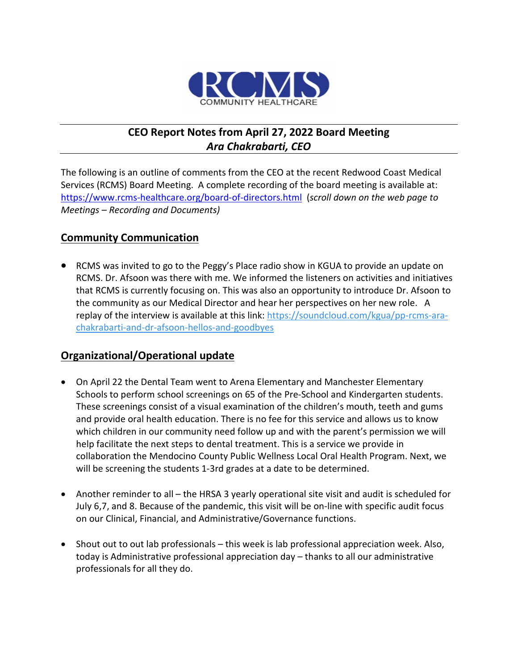

# **CEO Report Notes from April 27, 2022 Board Meeting** *Ara Chakrabarti, CEO*

The following is an outline of comments from the CEO at the recent Redwood Coast Medical Services (RCMS) Board Meeting. A complete recording of the board meeting is available at: <https://www.rcms-healthcare.org/board-of-directors.html>(*scroll down on the web page to Meetings – Recording and Documents)*

### **Community Communication**

• RCMS was invited to go to the Peggy's Place radio show in KGUA to provide an update on RCMS. Dr. Afsoon was there with me. We informed the listeners on activities and initiatives that RCMS is currently focusing on. This was also an opportunity to introduce Dr. Afsoon to the community as our Medical Director and hear her perspectives on her new role. A replay of the interview is available at this link[: https://soundcloud.com/kgua/pp-rcms-ara](https://soundcloud.com/kgua/pp-rcms-ara-chakrabarti-and-dr-afsoon-hellos-and-goodbyes)[chakrabarti-and-dr-afsoon-hellos-and-goodbyes](https://soundcloud.com/kgua/pp-rcms-ara-chakrabarti-and-dr-afsoon-hellos-and-goodbyes)

## **Organizational/Operational update**

- On April 22 the Dental Team went to Arena Elementary and Manchester Elementary Schools to perform school screenings on 65 of the Pre-School and Kindergarten students. These screenings consist of a visual examination of the children's mouth, teeth and gums and provide oral health education. There is no fee for this service and allows us to know which children in our community need follow up and with the parent's permission we will help facilitate the next steps to dental treatment. This is a service we provide in collaboration the Mendocino County Public Wellness Local Oral Health Program. Next, we will be screening the students 1-3rd grades at a date to be determined.
- Another reminder to all the HRSA 3 yearly operational site visit and audit is scheduled for July 6,7, and 8. Because of the pandemic, this visit will be on-line with specific audit focus on our Clinical, Financial, and Administrative/Governance functions.
- Shout out to out lab professionals this week is lab professional appreciation week. Also, today is Administrative professional appreciation day – thanks to all our administrative professionals for all they do.